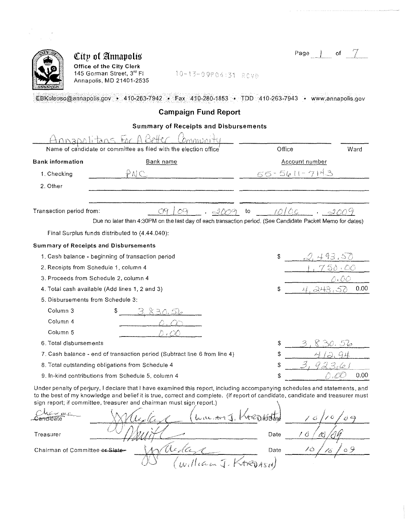| Page<br>_________ |
|-------------------|
|-------------------|



Office of the City Clerk 145 Gorman Street, 3<sup>rd</sup> FI Annapolis, MD 21401-2535

10-13-09P04:31 ROVD

EBKoleoso@annapolis.gov • 410-263-7942 • Fax 410-280-1853 • TDD 410-263-7943 • www.annapolis.gov

### Campaign Fund Report

### Summary of Receipts and Disbursements

|                                   | Name of candidate or committee as filed with the election office                                                                                                                                                                                                                                                                     | Office            | Ward |
|-----------------------------------|--------------------------------------------------------------------------------------------------------------------------------------------------------------------------------------------------------------------------------------------------------------------------------------------------------------------------------------|-------------------|------|
| <b>Bank information</b>           | Bank name                                                                                                                                                                                                                                                                                                                            | Account number    |      |
| 1. Checking                       | ₽NC                                                                                                                                                                                                                                                                                                                                  | $55 - 5611 - 714$ |      |
| 2. Other                          |                                                                                                                                                                                                                                                                                                                                      |                   |      |
|                                   |                                                                                                                                                                                                                                                                                                                                      |                   |      |
| Transaction period from:          | 09                                                                                                                                                                                                                                                                                                                                   | mloc<br>to        |      |
|                                   | Due no later than 4:30PM on the last day of each transaction period. (See Candidate Packet Memo for dates)                                                                                                                                                                                                                           |                   |      |
|                                   | Final Surplus funds distributed to (4.44.040):                                                                                                                                                                                                                                                                                       |                   |      |
|                                   | <b>Summary of Receipts and Disbursements</b>                                                                                                                                                                                                                                                                                         |                   |      |
|                                   | 1. Cash balance - beginning of transaction period                                                                                                                                                                                                                                                                                    | Ŝ<br>493.         |      |
|                                   | 2. Receipts from Schedule 1, column 4                                                                                                                                                                                                                                                                                                | 58 -              |      |
|                                   | 3. Proceeds from Schedule 2, column 4                                                                                                                                                                                                                                                                                                |                   |      |
|                                   | 4. Total cash available (Add lines 1, 2 and 3)                                                                                                                                                                                                                                                                                       | \$                | 0.00 |
| 5. Disbursements from Schedule 3: |                                                                                                                                                                                                                                                                                                                                      |                   |      |
| Column 3                          |                                                                                                                                                                                                                                                                                                                                      |                   |      |
| Column <sub>4</sub>               |                                                                                                                                                                                                                                                                                                                                      |                   |      |
| Column <sub>5</sub>               |                                                                                                                                                                                                                                                                                                                                      |                   |      |
| 6. Total disbursements            |                                                                                                                                                                                                                                                                                                                                      | \$                |      |
|                                   | 7. Cash balance - end of transaction period (Subtract line 6 from line 4)                                                                                                                                                                                                                                                            | \$                |      |
|                                   | 8. Total outstanding obligations from Schedule 4                                                                                                                                                                                                                                                                                     | \$                |      |
|                                   | 9. In-kind contributions from Schedule 5, column 4                                                                                                                                                                                                                                                                                   | \$                | 0.00 |
|                                   | Under penalty of perjury, I declare that I have examined this report, including accompanying schedules and statements, and<br>to the best of my knowledge and belief it is true, correct and complete. (If report of candidate, candidate and treasurer must<br>sign report; if committee, treasurer and chairman must sign report.) |                   |      |
| ie wa<br>⊇em⊓inate                | $x_1$ u Avr $\Lambda$                                                                                                                                                                                                                                                                                                                |                   |      |
| Treasurer                         |                                                                                                                                                                                                                                                                                                                                      | / C<br>Date       |      |
| Chairman of Committee or Siate    | the de                                                                                                                                                                                                                                                                                                                               | 10<br>Date        | a 9  |
|                                   |                                                                                                                                                                                                                                                                                                                                      |                   |      |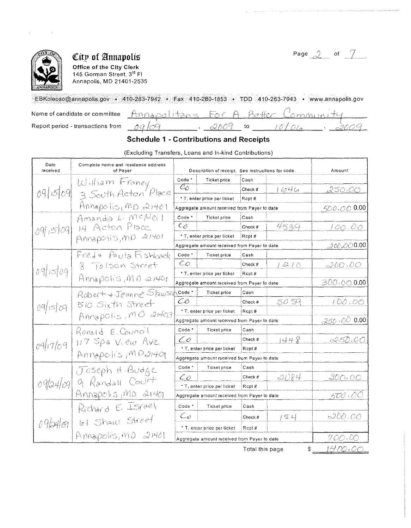

Office of the City Clerk 145 Gorman Street, 3<sup>rd</sup> FI Annapolis, MD 21401,2535

Page  $2$  of  $7$ 

EBKoleoso@annapolis.gov • 410-263-7942 • Fax 410-280-1853 • TDD 410-263-7943 • www.annapolis.gov

Name of candidate or committee Report period - transactions from

|  | Apolitans For A Better Commi |  |        |        |  |
|--|------------------------------|--|--------|--------|--|
|  |                              |  | ーユカナカム | - 2012 |  |

### Schedule 1 • Contributions and Receipts

(Excluding Transfers, Loans and In-kind Contributions)

| Date<br>received | Complete name and residence address<br>of Payer |                                              | Description of receipt. See instructions for code. |         |                         | Amount     |
|------------------|-------------------------------------------------|----------------------------------------------|----------------------------------------------------|---------|-------------------------|------------|
|                  | William Francy                                  | Code *                                       | Ticket price                                       | Cash    |                         |            |
| 09/15/09         |                                                 | Co                                           |                                                    | Check # | 1646                    | 250.00     |
|                  | 3 South Acton Place                             |                                              | * T, enter price per ticket                        | Rcpt#   |                         |            |
|                  | Annapolis, MD 21401                             |                                              | Aggregate amount received from Payer to date       |         |                         | 500.000.00 |
|                  | Amanda L. McNeil                                | Code *                                       | <b>Ticket price</b>                                | Cash    |                         |            |
| 09/509           | 14 Acton Place                                  | $\mathcal{L}_{\mathcal{O}}$                  |                                                    | Check # | 4539                    | 100.00     |
|                  | ANNAPOLIS, MD 21401                             |                                              | * T, enter price per ticket                        | Rcpt#   |                         |            |
|                  |                                                 |                                              | Aggregate amount received from Payer to date       |         |                         | 200,000.00 |
|                  | Fred + Paula Fishback                           | Code <sup>*</sup>                            | <b>Ticket price</b>                                | Cash    |                         |            |
|                  | 8 Tolson Street                                 | $\mathcal{L}\phi$                            |                                                    | Check # | $\triangle / \triangle$ | 200.00     |
| 09509            | Annapolis, MO 21401                             |                                              | * T, enter price per ticket<br>Rcot#               |         |                         |            |
|                  |                                                 |                                              | Aggregate amount received from Payer to date       |         |                         | 300.000    |
|                  | Robert + Jeanne Stawsuncode:                    |                                              | Ticket price                                       | Cash    |                         |            |
| 09/15/09         | 510 Sixth Street                                | ČŐ                                           |                                                    | Check # | 50 59                   | 100.00     |
|                  | Annapolis, MO 21403                             | * T, enter price per ticket<br>Rcot#         |                                                    |         |                         |            |
|                  |                                                 |                                              | Aggregate amount received from Payer to date       |         |                         | 250.000    |
|                  | Ronald E. Council                               | Code <sup>*</sup>                            | <b>Ticket price</b>                                | Cash    |                         |            |
| 09/17/09         | $117$ Spa View Ave                              | $\mathcal{L}^{\partial}$                     |                                                    | Check # | 1448                    | 250.00     |
|                  |                                                 | * T, enter price per ticket<br>Rcpt#         |                                                    |         |                         |            |
|                  | Annapolis MP21401                               | Aggregate amount received from Payer to date |                                                    |         |                         |            |
|                  | Joseph H. Budge                                 | Code <sup>*</sup>                            | Ticket price                                       | Cash    |                         |            |
|                  | 9 Randall Court                                 | Co                                           |                                                    | Check # | -3084                   | 300.00     |
| 09/24/09         |                                                 |                                              | * T. enter price per ticket                        | Rcpt#   |                         |            |
|                  | $Ampapchs1mb a1ab$                              |                                              | Aggregate amount received from Payer to date       |         |                         | 500 : 00   |
|                  | Richard E Israel                                | Code <sup>*</sup>                            | Ticket price                                       | Cash    |                         |            |
|                  |                                                 | $\mathcal{L}_{\mathcal{L}}$                  |                                                    | Check # | 124                     | IW.00      |
| 09/24/09         | 61 Show Street                                  |                                              | * T, enter price per ticket                        | Rcpt#   |                         |            |
|                  | Annapolis, MD 21401                             |                                              | Aggregate amount received from Payer to date       |         |                         | 700.00     |
|                  |                                                 |                                              |                                                    |         |                         | ミノー めか     |

Total this page  $\qquad \quad \ \ \, {\sf s} \equiv \pm 1.4~\text{\textcircled{\tiny 1}}\!\!\!\!\!1.20~\text{\textcircled{\tiny 2}}\,.$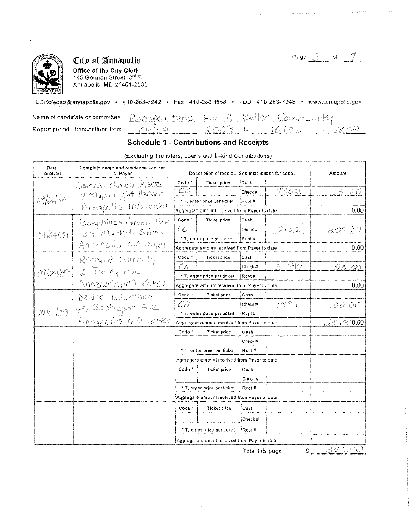

Office of the City Clerk 145 Gorman Street, 3<sup>rd</sup> Fl Annapolis, MD 21401-2535

Page  $\beta$  of  $\mathcal{I}$ 

 $0.00$ 

00

 $0.00$ 

 $0.00$ 

### EBKoleoso@annapolis.gov - 410-263-7942 - Fax 410-280-1853 - TDD 410-263-7943 - www.annapolis.gov

| Name of candidate or committee    |              | Annapolitans For A Better Communis |  |
|-----------------------------------|--------------|------------------------------------|--|
| Report period - transactions from | 、ガベハ身<br>-to |                                    |  |

### **Schedule 1 - Contributions and Receipts**

Complete name and residence address Date received of Payer Description of receipt. See instructions for code. Amount orlation Jonnes Nancy Bass<br>
09/24/09 Amapolis, MD 21401<br>
09/24/09 139 Market Street<br>
09/24/09 139 Market Street<br>
09/29/09 2 Taney Ave Code \* **Tickel price** Cash  $\overline{C}O$ 7302 Check # 05. O O \* T, enter price per ticket Rcpt# Aggregate amount received from Payer to date Code<sup>\*</sup> **Ticket price** ∫Cash  $\overline{\mathcal{C}}$  $2152$ Check # DD 0 \* T, enter price per ticket Rcpt# Aggregate amount received from Payer to date Code<sup>\*</sup> **Ticket price** Cash 3 D97  $\mathcal{C} O$ Check # 8.5700 \* T, enter price per ticket  $|$ Rcpt# Annapolis, MD 21401 Aggregate amount received from Payer to date 10/01/09 65 Southque Ave Code<sup>-</sup> **Ticket price** Cash  $591$ CÒ Check # 00.00 \* T, enter price per ticket  $RCpt#$ Annapolis, MD 21401 27O OO  $0.00$ Aggregate amount received from Payer to date Code<sup>\*</sup> Ticket price Cash Check # \* T, enter price per ticket Rcpt# Aggregate amount received from Payer to date Code<sup>+</sup> Cash Ticket price Check # \* T, enter price per ticket Rcpt# Aggregate amount received from Payer to date Code<sup>\*</sup> Ticket price Cash

(Excluding Transfers, Loans and In-kind Contributions)

Total this page

Check #

Rcpt#

\* T, enter price per ticket

Aggregate amount received from Payer to date

3 50. OC

 $\mathbb{S}$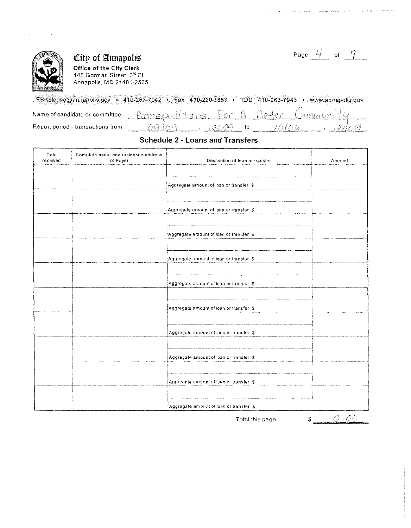

Office of the City Clerk 145 Gorman Street, 3rd Fl Annapolis. MD 21401-2535

| Page |  |  |
|------|--|--|
|------|--|--|

EBKoleoso@annapolis.gov • 410-263-7942 • Fax 410-280-1853 • TDD 410-263-7943 • www.annapolis.gov Name of candidate or committee

Report period - transactions from

#### Annapolitane A  $A_0$ lle $\epsilon$  $b$ *mm* $v$ nt  $\mathscr{M}$ na  $\varphi$  $3009$  $\mathfrak{t}$  $10106$

### Schedule 2 - Loans and Transfers

| Date<br>received | Complete name and residence address<br>of Payer | Description of loan or transfer         | Amount |
|------------------|-------------------------------------------------|-----------------------------------------|--------|
|                  |                                                 |                                         |        |
|                  |                                                 | Aggregate amount of loan or transfer \$ |        |
|                  |                                                 |                                         |        |
|                  |                                                 | Aggregate amount of toan or transfer \$ |        |
|                  |                                                 |                                         |        |
|                  |                                                 | Aggregate amount of loan or transfer \$ |        |
|                  |                                                 |                                         |        |
|                  |                                                 | Aggregate amount of loan or transfer \$ |        |
|                  |                                                 |                                         |        |
|                  |                                                 | Aggregate amount of loan or transfer \$ |        |
|                  |                                                 |                                         |        |
|                  |                                                 | Aggregate amount of loan or transfer \$ |        |
|                  |                                                 |                                         |        |
|                  |                                                 | Aggregate amount of loan or transfer \$ |        |
|                  |                                                 |                                         |        |
|                  |                                                 | Aggregate amount of loan or transfer \$ |        |
|                  |                                                 |                                         |        |
|                  |                                                 | Aggregate amount of loan or transfer \$ |        |
|                  |                                                 |                                         |        |
|                  |                                                 | Aggregate amount of loan or transfer \$ |        |

Total this page  $$ \_\_\_ \bigcirc \cdot {\mathcal{O}} \mathcal{O}$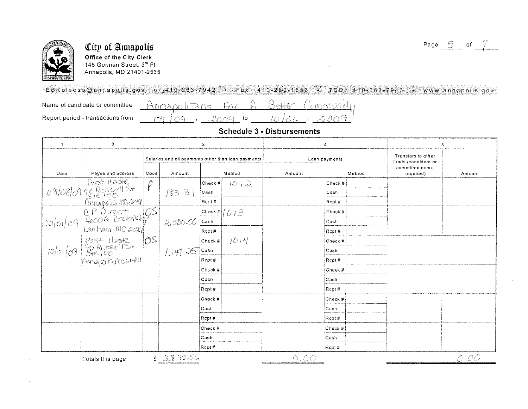



 $\Delta$ 

### City of Annapolis Office of the City Clerk 145 Gorman Street, 3<sup>rd</sup> Fl Annapolis, MD 21401-2535

 $(29)$ 

## EBKoleoso@annapolis.gov · 410-263-7942 · Fax 410-280-1853 · TDD 410-263-7943 · www.annapolis.gov

Name of candidate or committee

Report period - transactions from

Annapolitans For Roffer Pommunti  $09 - 2009$  to 10  $24.120$ 

| <b>Schedule 3 - Disbursements</b> |  |  |
|-----------------------------------|--|--|
|                                   |  |  |

| $\overline{1}$ | $\overline{2}$                                                                  |                |                                                    | 3           |        | $\pmb{4}$     |         | 5                                         |                                       |      |
|----------------|---------------------------------------------------------------------------------|----------------|----------------------------------------------------|-------------|--------|---------------|---------|-------------------------------------------|---------------------------------------|------|
|                |                                                                                 |                | Salaries and all payments other than loan payments |             |        | Loan payments |         | Transfers to other<br>funds (candidate or |                                       |      |
| Date           | Payee and address                                                               | Code           | Amount                                             |             | Method | Amount        |         | Method                                    | committee name<br>required)<br>Amount |      |
|                |                                                                                 |                |                                                    | $ Check $ # | 1012   |               | Check # |                                           |                                       |      |
|                |                                                                                 |                | 183.31                                             | Cash        |        |               | Cash    |                                           |                                       |      |
|                |                                                                                 |                |                                                    | Rcpt#       |        |               | Rcpt#   |                                           |                                       |      |
|                | 09/08/09 90 Russell St P<br>09/08/09 90 Russell St P<br>10/01/09 4600 Rooteneby |                |                                                    | Check $#$   | D/3    |               | Check # |                                           |                                       |      |
| 10/01/09       |                                                                                 |                | 2,500.00                                           | Cash        |        |               | Cash    |                                           |                                       |      |
|                | $Lengthom, MO$ 2022                                                             |                |                                                    | Rcot#       |        |               | Rcpt#   |                                           |                                       |      |
|                |                                                                                 | O <sup>S</sup> |                                                    | Check #     | 1014   |               | Check # |                                           |                                       |      |
|                | 10/01/09 Post Haste                                                             |                | 1,149.25                                           | Cash        |        |               | Cash    |                                           |                                       |      |
|                | Annapolis, most 401                                                             |                |                                                    | Rcot#       |        |               | Rcpt#   |                                           |                                       |      |
|                |                                                                                 |                |                                                    | Check #     |        |               | Check # |                                           |                                       |      |
|                |                                                                                 |                |                                                    | Cash        |        |               | Cash    |                                           |                                       |      |
|                |                                                                                 |                |                                                    | Rept #      |        |               | Rcpt #  |                                           |                                       |      |
|                |                                                                                 |                |                                                    | Check #     |        |               | Check # |                                           |                                       |      |
|                |                                                                                 |                |                                                    | Cash        |        |               | Cash    |                                           |                                       |      |
|                |                                                                                 |                |                                                    | Rcpt#       |        |               | Rcpt#   |                                           |                                       |      |
|                |                                                                                 |                |                                                    | Check #     |        |               | Check # |                                           |                                       |      |
|                |                                                                                 |                |                                                    | Cash        |        |               | Cash    |                                           |                                       |      |
|                |                                                                                 |                |                                                    | Rept#       |        |               | Rcpt#   |                                           |                                       |      |
|                | Totals this page                                                                | $\mathbb{S}^-$ | 3,830.56                                           |             |        | DTOO          |         |                                           |                                       | -,00 |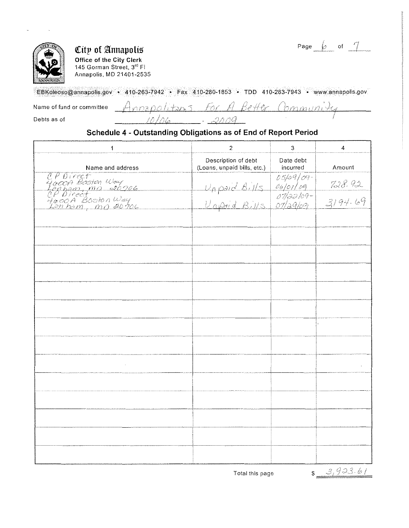Page of



Office of the City Clerk 145 Gorman Street, 3<sup>rd</sup> FI Annapolis, MD 21401-2535

EBKoleoso@annapolis.gov • 410-263-7942 • Fax 410-280-1853 • TDD 410-263-7943 • wWw.annapolis.gov

 $Ans5$  For  $A$ Name of fund or committee onzpo

Debts as of

Better ( boronio mina . Dong

### Schedule 4 - Outstanding Obligations as of End of Report Period

| $\mathbf{1}$                                                                                | $\overline{2}$                                                           | 3                     | 4                     |
|---------------------------------------------------------------------------------------------|--------------------------------------------------------------------------|-----------------------|-----------------------|
| Name and address                                                                            | Description of debt<br>(Loans, unpaid bills, etc.)                       | Date debt<br>incurred | Amount                |
| CP Direct<br>Yorcoft Boston Way<br>Lapham, MO 20706<br>YoooA Boston Way<br>Yonnam, MO 20706 | Unpaid Bills 05/09/09-<br>Unpaid Bills 06/01/09<br>Unpaid Bills 07/29/09 |                       |                       |
|                                                                                             |                                                                          |                       | $728.92$<br>$3194.69$ |
|                                                                                             |                                                                          |                       |                       |
|                                                                                             |                                                                          |                       |                       |
|                                                                                             |                                                                          |                       |                       |
|                                                                                             |                                                                          |                       |                       |
|                                                                                             |                                                                          |                       |                       |
|                                                                                             |                                                                          |                       |                       |
|                                                                                             |                                                                          |                       | $\mathbf{r}$          |
|                                                                                             |                                                                          |                       |                       |
|                                                                                             |                                                                          |                       |                       |
|                                                                                             |                                                                          |                       |                       |
|                                                                                             |                                                                          |                       |                       |
|                                                                                             |                                                                          |                       |                       |
|                                                                                             |                                                                          |                       |                       |
|                                                                                             |                                                                          |                       |                       |

 $$3,923.61$ 

Total this page